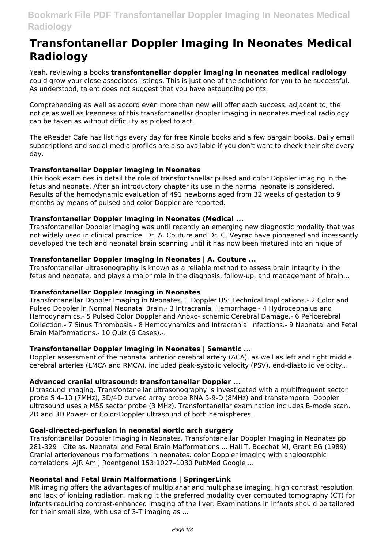# **Transfontanellar Doppler Imaging In Neonates Medical Radiology**

Yeah, reviewing a books **transfontanellar doppler imaging in neonates medical radiology** could grow your close associates listings. This is just one of the solutions for you to be successful. As understood, talent does not suggest that you have astounding points.

Comprehending as well as accord even more than new will offer each success. adjacent to, the notice as well as keenness of this transfontanellar doppler imaging in neonates medical radiology can be taken as without difficulty as picked to act.

The eReader Cafe has listings every day for free Kindle books and a few bargain books. Daily email subscriptions and social media profiles are also available if you don't want to check their site every day.

# **Transfontanellar Doppler Imaging In Neonates**

This book examines in detail the role of transfontanellar pulsed and color Doppler imaging in the fetus and neonate. After an introductory chapter its use in the normal neonate is considered. Results of the hemodynamic evaluation of 491 newborns aged from 32 weeks of gestation to 9 months by means of pulsed and color Doppler are reported.

### **Transfontanellar Doppler Imaging in Neonates (Medical ...**

Transfontanellar Doppler imaging was until recently an emerging new diagnostic modality that was not widely used in clinical practice. Dr. A. Couture and Dr. C. Veyrac have pioneered and incessantly developed the tech and neonatal brain scanning until it has now been matured into an nique of

### **Transfontanellar Doppler Imaging in Neonates | A. Couture ...**

Transfontanellar ultrasonography is known as a reliable method to assess brain integrity in the fetus and neonate, and plays a major role in the diagnosis, follow-up, and management of brain...

### **Transfontanellar Doppler Imaging in Neonates**

Transfontanellar Doppler Imaging in Neonates. 1 Doppler US: Technical Implications.- 2 Color and Pulsed Doppler in Normal Neonatal Brain.- 3 Intracranial Hemorrhage.- 4 Hydrocephalus and Hemodynamics.- 5 Pulsed Color Doppler and Anoxo-Ischemic Cerebral Damage.- 6 Pericerebral Collection.- 7 Sinus Thrombosis.- 8 Hemodynamics and Intracranial Infections.- 9 Neonatal and Fetal Brain Malformations.- 10 Quiz (6 Cases).-.

### **Transfontanellar Doppler Imaging in Neonates | Semantic ...**

Doppler assessment of the neonatal anterior cerebral artery (ACA), as well as left and right middle cerebral arteries (LMCA and RMCA), included peak-systolic velocity (PSV), end-diastolic velocity...

### **Advanced cranial ultrasound: transfontanellar Doppler ...**

Ultrasound imaging. Transfontanellar ultrasonography is investigated with a multifrequent sector probe S 4–10 (7MHz), 3D/4D curved array probe RNA 5-9-D (8MHz) and transtemporal Doppler ultrasound uses a M5S sector probe (3 MHz). Transfontanellar examination includes B-mode scan, 2D and 3D Power- or Color-Doppler ultrasound of both hemispheres.

### **Goal-directed-perfusion in neonatal aortic arch surgery**

Transfontanellar Doppler Imaging in Neonates. Transfontanellar Doppler Imaging in Neonates pp 281-329 | Cite as. Neonatal and Fetal Brain Malformations ... Hall T, Boechat MI, Grant EG (1989) Cranial arteriovenous malformations in neonates: color Doppler imaging with angiographic correlations. AJR Am J Roentgenol 153:1027–1030 PubMed Google ...

# **Neonatal and Fetal Brain Malformations | SpringerLink**

MR imaging offers the advantages of multiplanar and multiphase imaging, high contrast resolution and lack of ionizing radiation, making it the preferred modality over computed tomography (CT) for infants requiring contrast-enhanced imaging of the liver. Examinations in infants should be tailored for their small size, with use of 3-T imaging as ...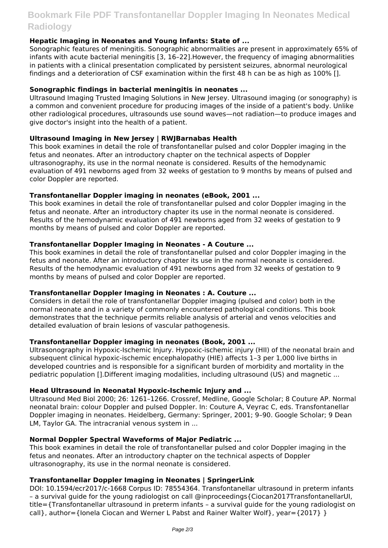# **Bookmark File PDF Transfontanellar Doppler Imaging In Neonates Medical Radiology**

# **Hepatic Imaging in Neonates and Young Infants: State of ...**

Sonographic features of meningitis. Sonographic abnormalities are present in approximately 65% of infants with acute bacterial meningitis [3, 16–22].However, the frequency of imaging abnormalities in patients with a clinical presentation complicated by persistent seizures, abnormal neurological findings and a deterioration of CSF examination within the first 48 h can be as high as 100% [].

#### **Sonographic findings in bacterial meningitis in neonates ...**

Ultrasound Imaging Trusted Imaging Solutions in New Jersey. Ultrasound imaging (or sonography) is a common and convenient procedure for producing images of the inside of a patient's body. Unlike other radiological procedures, ultrasounds use sound waves—not radiation—to produce images and give doctor's insight into the health of a patient.

### **Ultrasound Imaging in New Jersey | RWJBarnabas Health**

This book examines in detail the role of transfontanellar pulsed and color Doppler imaging in the fetus and neonates. After an introductory chapter on the technical aspects of Doppler ultrasonography, its use in the normal neonate is considered. Results of the hemodynamic evaluation of 491 newborns aged from 32 weeks of gestation to 9 months by means of pulsed and color Doppler are reported.

### **Transfontanellar Doppler imaging in neonates (eBook, 2001 ...**

This book examines in detail the role of transfontanellar pulsed and color Doppler imaging in the fetus and neonate. After an introductory chapter its use in the normal neonate is considered. Results of the hemodynamic evaluation of 491 newborns aged from 32 weeks of gestation to 9 months by means of pulsed and color Doppler are reported.

#### **Transfontanellar Doppler Imaging in Neonates - A Couture ...**

This book examines in detail the role of transfontanellar pulsed and color Doppler imaging in the fetus and neonate. After an introductory chapter its use in the normal neonate is considered. Results of the hemodynamic evaluation of 491 newborns aged from 32 weeks of gestation to 9 months by means of pulsed and color Doppler are reported.

#### **Transfontanellar Doppler Imaging in Neonates : A. Couture ...**

Considers in detail the role of transfontanellar Doppler imaging (pulsed and color) both in the normal neonate and in a variety of commonly encountered pathological conditions. This book demonstrates that the technique permits reliable analysis of arterial and venos velocities and detailed evaluation of brain lesions of vascular pathogenesis.

#### **Transfontanellar Doppler imaging in neonates (Book, 2001 ...**

Ultrasonography in Hypoxic-Ischemic Injury. Hypoxic-ischemic injury (HII) of the neonatal brain and subsequent clinical hypoxic-ischemic encephalopathy (HIE) affects 1–3 per 1,000 live births in developed countries and is responsible for a significant burden of morbidity and mortality in the pediatric population [].Different imaging modalities, including ultrasound (US) and magnetic ...

### **Head Ultrasound in Neonatal Hypoxic-Ischemic Injury and ...**

Ultrasound Med Biol 2000; 26: 1261–1266. Crossref, Medline, Google Scholar; 8 Couture AP. Normal neonatal brain: colour Doppler and pulsed Doppler. In: Couture A, Veyrac C, eds. Transfontanellar Doppler imaging in neonates. Heidelberg, Germany: Springer, 2001; 9–90. Google Scholar; 9 Dean LM, Taylor GA. The intracranial venous system in ...

#### **Normal Doppler Spectral Waveforms of Major Pediatric ...**

This book examines in detail the role of transfontanellar pulsed and color Doppler imaging in the fetus and neonates. After an introductory chapter on the technical aspects of Doppler ultrasonography, its use in the normal neonate is considered.

### **Transfontanellar Doppler Imaging in Neonates | SpringerLink**

DOI: 10.1594/ecr2017/c-1668 Corpus ID: 78554364. Transfontanellar ultrasound in preterm infants – a survival guide for the young radiologist on call @inproceedings{Ciocan2017TransfontanellarUI, title={Transfontanellar ultrasound in preterm infants – a survival guide for the young radiologist on call}, author={Ionela Ciocan and Werner L Pabst and Rainer Walter Wolf}, year={2017} }